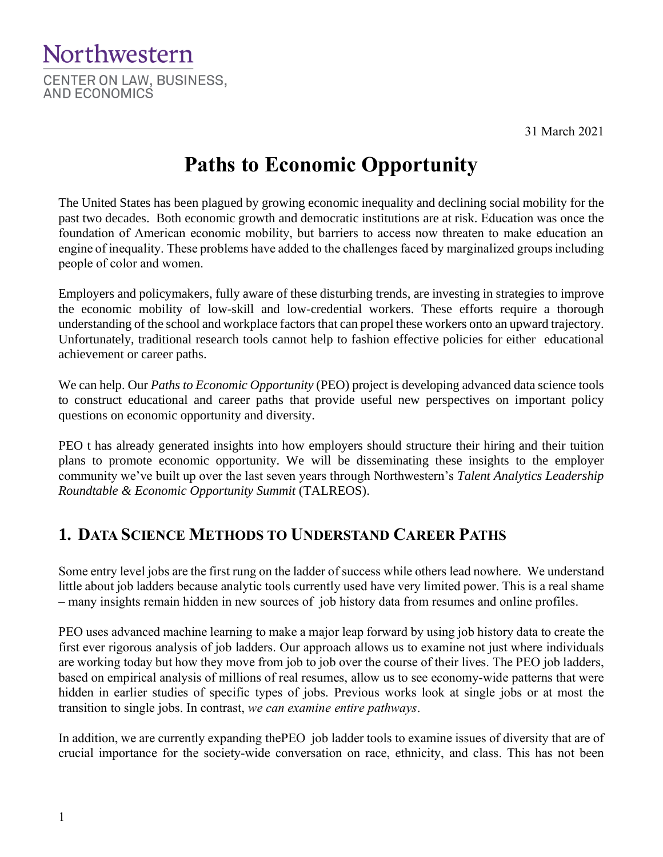31 March 2021



# **Paths to Economic Opportunity**

The United States has been plagued by growing economic inequality and declining social mobility for the past two decades. Both economic growth and democratic institutions are at risk. Education was once the foundation of American economic mobility, but barriers to access now threaten to make education an engine of inequality. These problems have added to the challenges faced by marginalized groups including people of color and women.

Employers and policymakers, fully aware of these disturbing trends, are investing in strategies to improve the economic mobility of low-skill and low-credential workers. These efforts require a thorough understanding of the school and workplace factors that can propel these workers onto an upward trajectory. Unfortunately, traditional research tools cannot help to fashion effective policies for either educational achievement or career paths.

We can help. Our *Paths to Economic Opportunity* (PEO) project is developing advanced data science tools to construct educational and career paths that provide useful new perspectives on important policy questions on economic opportunity and diversity.

PEO t has already generated insights into how employers should structure their hiring and their tuition plans to promote economic opportunity. We will be disseminating these insights to the employer community we've built up over the last seven years through Northwestern's *Talent Analytics Leadership Roundtable & Economic Opportunity Summit* (TALREOS).

## **1. DATA SCIENCE METHODS TO UNDERSTAND CAREER PATHS**

Some entry level jobs are the first rung on the ladder of success while others lead nowhere. We understand little about job ladders because analytic tools currently used have very limited power. This is a real shame – many insights remain hidden in new sources of job history data from resumes and online profiles.

PEO uses advanced machine learning to make a major leap forward by using job history data to create the first ever rigorous analysis of job ladders. Our approach allows us to examine not just where individuals are working today but how they move from job to job over the course of their lives. The PEO job ladders, based on empirical analysis of millions of real resumes, allow us to see economy-wide patterns that were hidden in earlier studies of specific types of jobs. Previous works look at single jobs or at most the transition to single jobs. In contrast, *we can examine entire pathways*.

In addition, we are currently expanding thePEO job ladder tools to examine issues of diversity that are of crucial importance for the society-wide conversation on race, ethnicity, and class. This has not been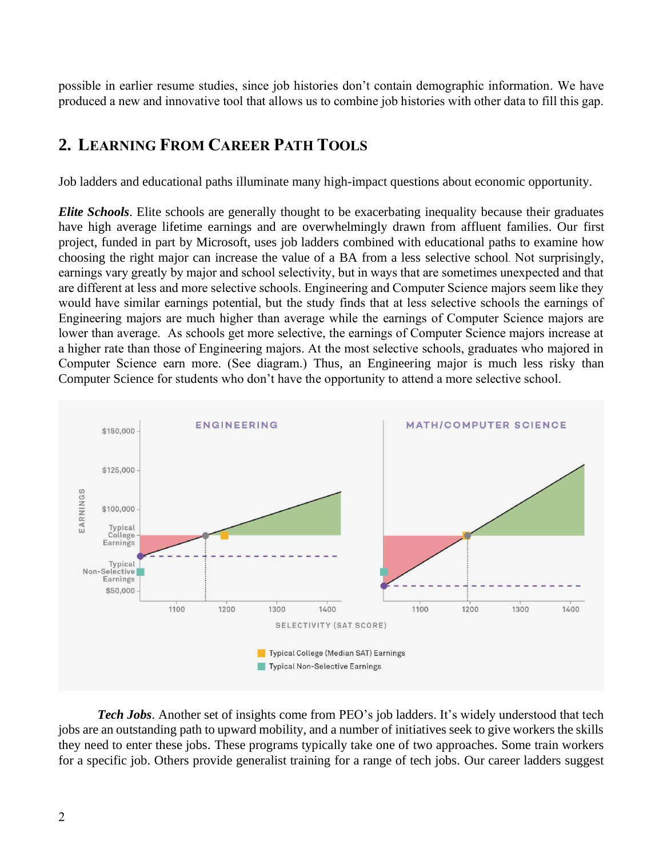possible in earlier resume studies, since job histories don't contain demographic information. We have produced a new and innovative tool that allows us to combine job histories with other data to fill this gap.

#### **2. LEARNING FROM CAREER PATH TOOLS**

Job ladders and educational paths illuminate many high-impact questions about economic opportunity.

*Elite Schools*. Elite schools are generally thought to be exacerbating inequality because their graduates have high average lifetime earnings and are overwhelmingly drawn from affluent families. Our first project, funded in part by Microsoft, uses job ladders combined with educational paths to examine how choosing the right major can increase the value of a BA from a less selective school. Not surprisingly, earnings vary greatly by major and school selectivity, but in ways that are sometimes unexpected and that are different at less and more selective schools. Engineering and Computer Science majors seem like they would have similar earnings potential, but the study finds that at less selective schools the earnings of Engineering majors are much higher than average while the earnings of Computer Science majors are lower than average. As schools get more selective, the earnings of Computer Science majors increase at a higher rate than those of Engineering majors. At the most selective schools, graduates who majored in Computer Science earn more. (See diagram.) Thus, an Engineering major is much less risky than Computer Science for students who don't have the opportunity to attend a more selective school.



*Tech Jobs*. Another set of insights come from PEO's job ladders. It's widely understood that tech jobs are an outstanding path to upward mobility, and a number of initiatives seek to give workers the skills they need to enter these jobs. These programs typically take one of two approaches. Some train workers for a specific job. Others provide generalist training for a range of tech jobs. Our career ladders suggest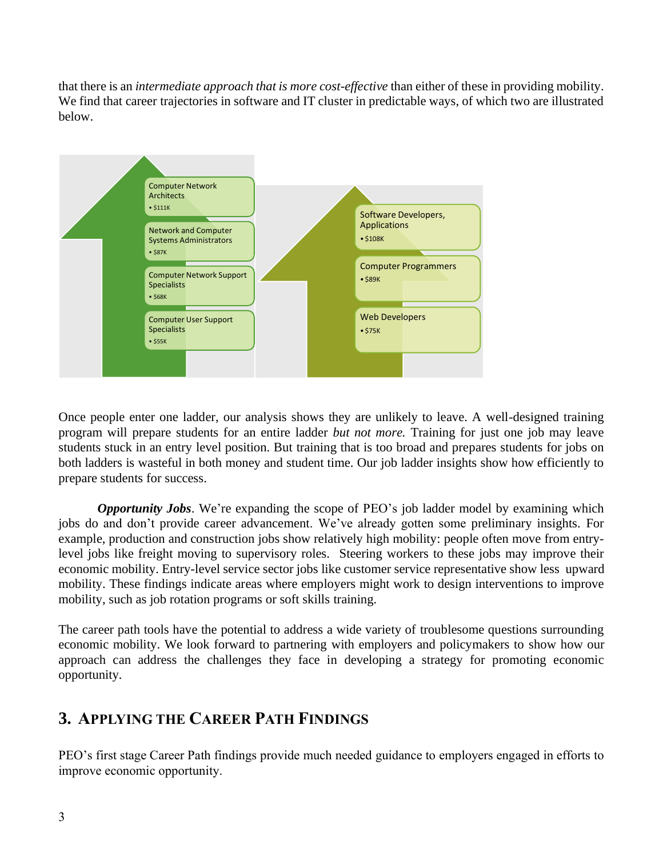that there is an *intermediate approach that is more cost-effective* than either of these in providing mobility. We find that career trajectories in software and IT cluster in predictable ways, of which two are illustrated below.



Once people enter one ladder, our analysis shows they are unlikely to leave. A well-designed training program will prepare students for an entire ladder *but not more.* Training for just one job may leave students stuck in an entry level position. But training that is too broad and prepares students for jobs on both ladders is wasteful in both money and student time. Our job ladder insights show how efficiently to prepare students for success.

*Opportunity Jobs*. We're expanding the scope of PEO's job ladder model by examining which jobs do and don't provide career advancement. We've already gotten some preliminary insights. For example, production and construction jobs show relatively high mobility: people often move from entrylevel jobs like freight moving to supervisory roles. Steering workers to these jobs may improve their economic mobility. Entry-level service sector jobs like customer service representative show less upward mobility. These findings indicate areas where employers might work to design interventions to improve mobility, such as job rotation programs or soft skills training.

The career path tools have the potential to address a wide variety of troublesome questions surrounding economic mobility. We look forward to partnering with employers and policymakers to show how our approach can address the challenges they face in developing a strategy for promoting economic opportunity.

## **3. APPLYING THE CAREER PATH FINDINGS**

PEO's first stage Career Path findings provide much needed guidance to employers engaged in efforts to improve economic opportunity.